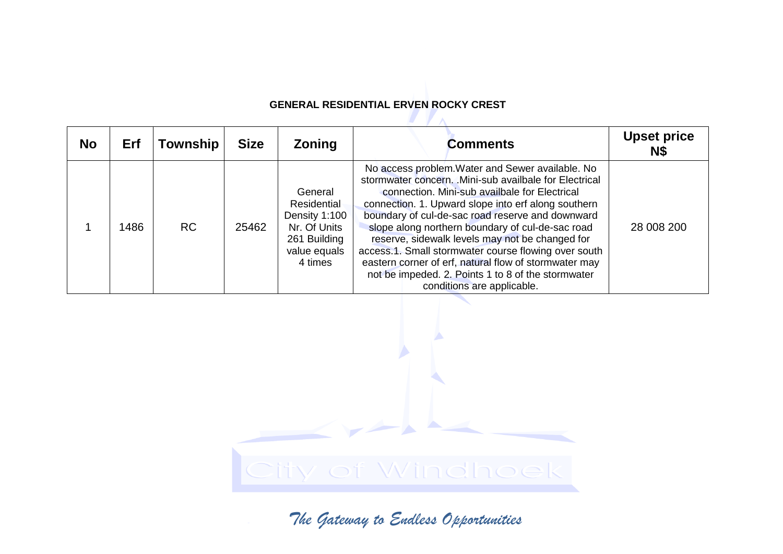## **GENERAL RESIDENTIAL ERVEN ROCKY CREST**

| <b>No</b> | Erf  | <b>Township</b> | <b>Size</b> | <b>Zoning</b>                                                                                      | <b>Comments</b>                                                                                                                                                                                                                                                                                                                                                                                                                                                                                                                                                                     | <b>Upset price</b><br>N\$ |
|-----------|------|-----------------|-------------|----------------------------------------------------------------------------------------------------|-------------------------------------------------------------------------------------------------------------------------------------------------------------------------------------------------------------------------------------------------------------------------------------------------------------------------------------------------------------------------------------------------------------------------------------------------------------------------------------------------------------------------------------------------------------------------------------|---------------------------|
|           | 1486 | <b>RC</b>       | 25462       | General<br>Residential<br>Density 1:100<br>Nr. Of Units<br>261 Building<br>value equals<br>4 times | No access problem. Water and Sewer available. No<br>stormwater concern. . Mini-sub availbale for Electrical<br>connection. Mini-sub availbale for Electrical<br>connection. 1. Upward slope into erf along southern<br>boundary of cul-de-sac road reserve and downward<br>slope along northern boundary of cul-de-sac road<br>reserve, sidewalk levels may not be changed for<br>access.1. Small stormwater course flowing over south<br>eastern corner of erf, natural flow of stormwater may<br>not be impeded. 2. Points 1 to 8 of the stormwater<br>conditions are applicable. | 28 008 200                |

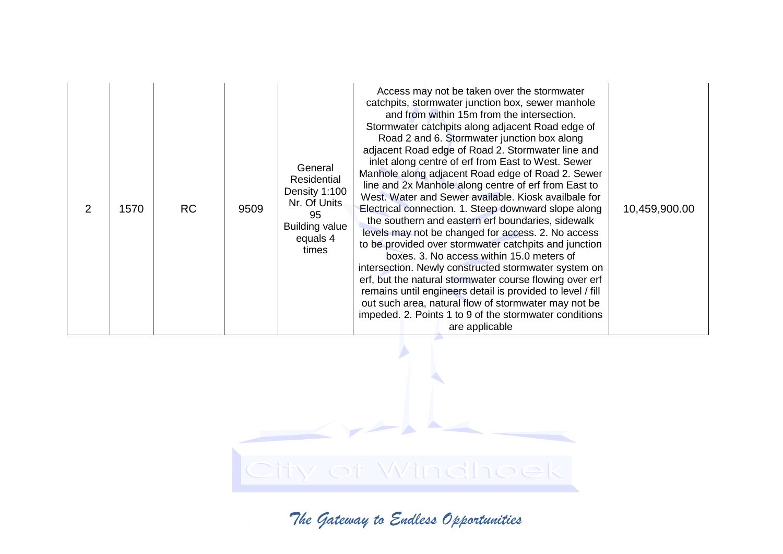| 2 | 1570 | <b>RC</b> | 9509 | General<br>Residential<br>Density 1:100<br>Nr. Of Units<br>95<br><b>Building value</b><br>equals 4<br>times | Access may not be taken over the stormwater<br>catchpits, stormwater junction box, sewer manhole<br>and from within 15m from the intersection.<br>Stormwater catchpits along adjacent Road edge of<br>Road 2 and 6. Stormwater junction box along<br>adjacent Road edge of Road 2. Stormwater line and<br>inlet along centre of erf from East to West. Sewer<br>Manhole along adjacent Road edge of Road 2. Sewer<br>line and 2x Manhole along centre of erf from East to<br>West. Water and Sewer available. Kiosk availbale for<br>Electrical connection. 1. Steep downward slope along<br>the southern and eastern erf boundaries, sidewalk<br>levels may not be changed for access. 2. No access<br>to be provided over stormwater catchpits and junction<br>boxes. 3. No access within 15.0 meters of<br>intersection. Newly constructed stormwater system on<br>erf, but the natural stormwater course flowing over erf<br>remains until engineers detail is provided to level / fill<br>out such area, natural flow of stormwater may not be<br>impeded. 2. Points 1 to 9 of the stormwater conditions<br>are applicable | 10,459,900.00 |
|---|------|-----------|------|-------------------------------------------------------------------------------------------------------------|---------------------------------------------------------------------------------------------------------------------------------------------------------------------------------------------------------------------------------------------------------------------------------------------------------------------------------------------------------------------------------------------------------------------------------------------------------------------------------------------------------------------------------------------------------------------------------------------------------------------------------------------------------------------------------------------------------------------------------------------------------------------------------------------------------------------------------------------------------------------------------------------------------------------------------------------------------------------------------------------------------------------------------------------------------------------------------------------------------------------------------|---------------|
|---|------|-----------|------|-------------------------------------------------------------------------------------------------------------|---------------------------------------------------------------------------------------------------------------------------------------------------------------------------------------------------------------------------------------------------------------------------------------------------------------------------------------------------------------------------------------------------------------------------------------------------------------------------------------------------------------------------------------------------------------------------------------------------------------------------------------------------------------------------------------------------------------------------------------------------------------------------------------------------------------------------------------------------------------------------------------------------------------------------------------------------------------------------------------------------------------------------------------------------------------------------------------------------------------------------------|---------------|

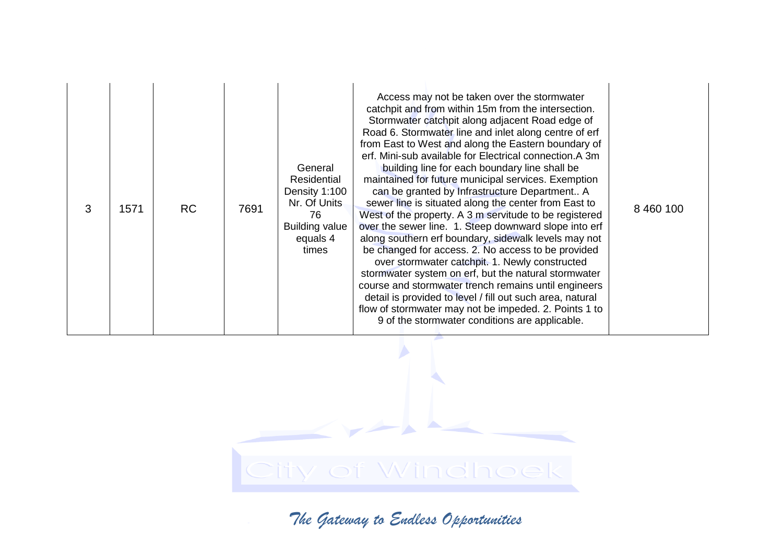| 3 | 1571 | <b>RC</b> | 7691 | General<br>Residential<br>Density 1:100<br>Nr. Of Units<br>76<br><b>Building value</b><br>equals 4<br>times | Access may not be taken over the stormwater<br>catchpit and from within 15m from the intersection.<br>Stormwater catchpit along adjacent Road edge of<br>Road 6. Stormwater line and inlet along centre of erf<br>from East to West and along the Eastern boundary of<br>erf. Mini-sub available for Electrical connection.A 3m<br>building line for each boundary line shall be<br>maintained for future municipal services. Exemption<br>can be granted by Infrastructure Department A<br>sewer line is situated along the center from East to<br>West of the property. A 3 m servitude to be registered<br>over the sewer line. 1. Steep downward slope into erf<br>along southern erf boundary, sidewalk levels may not<br>be changed for access. 2. No access to be provided<br>over stormwater catchpit. 1. Newly constructed<br>stormwater system on erf, but the natural stormwater<br>course and stormwater trench remains until engineers<br>detail is provided to level / fill out such area, natural<br>flow of stormwater may not be impeded. 2. Points 1 to<br>9 of the stormwater conditions are applicable. | 8 460 100 |
|---|------|-----------|------|-------------------------------------------------------------------------------------------------------------|-----------------------------------------------------------------------------------------------------------------------------------------------------------------------------------------------------------------------------------------------------------------------------------------------------------------------------------------------------------------------------------------------------------------------------------------------------------------------------------------------------------------------------------------------------------------------------------------------------------------------------------------------------------------------------------------------------------------------------------------------------------------------------------------------------------------------------------------------------------------------------------------------------------------------------------------------------------------------------------------------------------------------------------------------------------------------------------------------------------------------------|-----------|
|---|------|-----------|------|-------------------------------------------------------------------------------------------------------------|-----------------------------------------------------------------------------------------------------------------------------------------------------------------------------------------------------------------------------------------------------------------------------------------------------------------------------------------------------------------------------------------------------------------------------------------------------------------------------------------------------------------------------------------------------------------------------------------------------------------------------------------------------------------------------------------------------------------------------------------------------------------------------------------------------------------------------------------------------------------------------------------------------------------------------------------------------------------------------------------------------------------------------------------------------------------------------------------------------------------------------|-----------|

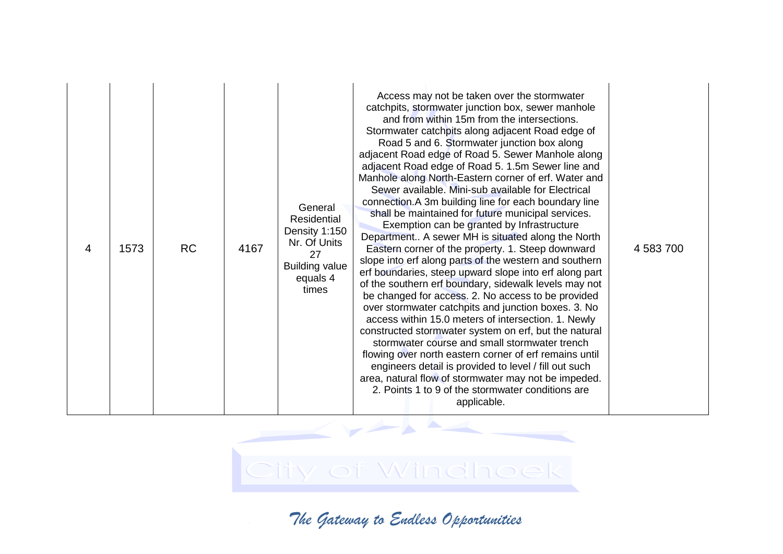| Access may not be taken over the stormwater<br>catchpits, stormwater junction box, sewer manhole<br>and from within 15m from the intersections.<br>Stormwater catchpits along adjacent Road edge of<br>Road 5 and 6. Stormwater junction box along<br>adjacent Road edge of Road 5. Sewer Manhole along<br>adjacent Road edge of Road 5. 1.5m Sewer line and<br>Manhole along North-Eastern corner of erf. Water and<br>Sewer available. Mini-sub available for Electrical<br>connection. A 3m building line for each boundary line<br>General<br>shall be maintained for future municipal services.<br>Residential<br>Exemption can be granted by Infrastructure<br>Density 1:150<br>Department A sewer MH is situated along the North<br>Nr. Of Units<br><b>RC</b><br>4167<br>1573<br>Eastern corner of the property. 1. Steep downward<br>4 583 700<br>4<br>27<br>slope into erf along parts of the western and southern<br><b>Building value</b><br>erf boundaries, steep upward slope into erf along part<br>equals 4<br>of the southern erf boundary, sidewalk levels may not<br>times<br>be changed for access. 2. No access to be provided<br>over stormwater catchpits and junction boxes. 3. No<br>access within 15.0 meters of intersection. 1. Newly<br>constructed stormwater system on erf, but the natural<br>stormwater course and small stormwater trench<br>flowing over north eastern corner of erf remains until<br>engineers detail is provided to level / fill out such<br>area, natural flow of stormwater may not be impeded.<br>2. Points 1 to 9 of the stormwater conditions are<br>applicable. |
|---------------------------------------------------------------------------------------------------------------------------------------------------------------------------------------------------------------------------------------------------------------------------------------------------------------------------------------------------------------------------------------------------------------------------------------------------------------------------------------------------------------------------------------------------------------------------------------------------------------------------------------------------------------------------------------------------------------------------------------------------------------------------------------------------------------------------------------------------------------------------------------------------------------------------------------------------------------------------------------------------------------------------------------------------------------------------------------------------------------------------------------------------------------------------------------------------------------------------------------------------------------------------------------------------------------------------------------------------------------------------------------------------------------------------------------------------------------------------------------------------------------------------------------------------------------------------------------------------------------------------|
|---------------------------------------------------------------------------------------------------------------------------------------------------------------------------------------------------------------------------------------------------------------------------------------------------------------------------------------------------------------------------------------------------------------------------------------------------------------------------------------------------------------------------------------------------------------------------------------------------------------------------------------------------------------------------------------------------------------------------------------------------------------------------------------------------------------------------------------------------------------------------------------------------------------------------------------------------------------------------------------------------------------------------------------------------------------------------------------------------------------------------------------------------------------------------------------------------------------------------------------------------------------------------------------------------------------------------------------------------------------------------------------------------------------------------------------------------------------------------------------------------------------------------------------------------------------------------------------------------------------------------|

City of Windhoek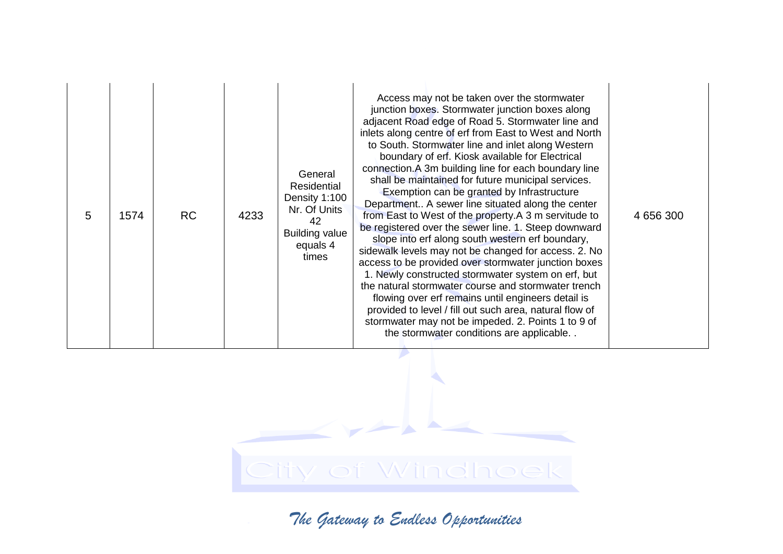| 5 | 1574 | <b>RC</b> | 4233 | General<br>Residential<br>Density 1:100<br>Nr. Of Units<br>42<br><b>Building value</b><br>equals 4<br>times | Access may not be taken over the stormwater<br>junction boxes. Stormwater junction boxes along<br>adjacent Road edge of Road 5. Stormwater line and<br>inlets along centre of erf from East to West and North<br>to South. Stormwater line and inlet along Western<br>boundary of erf. Kiosk available for Electrical<br>connection. A 3m building line for each boundary line<br>shall be maintained for future municipal services.<br>Exemption can be granted by Infrastructure<br>Department A sewer line situated along the center<br>from East to West of the property.A 3 m servitude to<br>be registered over the sewer line. 1. Steep downward<br>slope into erf along south western erf boundary,<br>sidewalk levels may not be changed for access. 2. No<br>access to be provided over stormwater junction boxes<br>1. Newly constructed stormwater system on erf, but<br>the natural stormwater course and stormwater trench<br>flowing over erf remains until engineers detail is<br>provided to level / fill out such area, natural flow of<br>stormwater may not be impeded. 2. Points 1 to 9 of<br>the stormwater conditions are applicable | 4 656 300 |
|---|------|-----------|------|-------------------------------------------------------------------------------------------------------------|-------------------------------------------------------------------------------------------------------------------------------------------------------------------------------------------------------------------------------------------------------------------------------------------------------------------------------------------------------------------------------------------------------------------------------------------------------------------------------------------------------------------------------------------------------------------------------------------------------------------------------------------------------------------------------------------------------------------------------------------------------------------------------------------------------------------------------------------------------------------------------------------------------------------------------------------------------------------------------------------------------------------------------------------------------------------------------------------------------------------------------------------------------------|-----------|
|---|------|-----------|------|-------------------------------------------------------------------------------------------------------------|-------------------------------------------------------------------------------------------------------------------------------------------------------------------------------------------------------------------------------------------------------------------------------------------------------------------------------------------------------------------------------------------------------------------------------------------------------------------------------------------------------------------------------------------------------------------------------------------------------------------------------------------------------------------------------------------------------------------------------------------------------------------------------------------------------------------------------------------------------------------------------------------------------------------------------------------------------------------------------------------------------------------------------------------------------------------------------------------------------------------------------------------------------------|-----------|

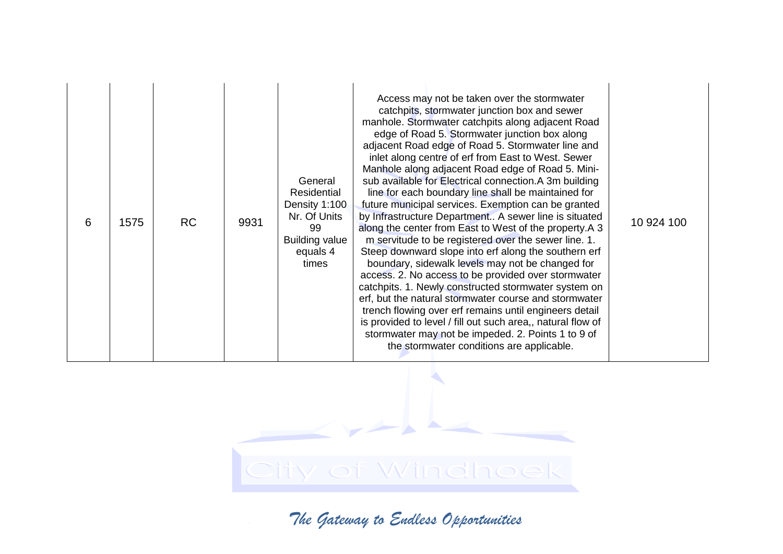| 6 | 1575 | <b>RC</b> | 9931 | General<br>Residential<br>Density 1:100<br>Nr. Of Units<br>99<br><b>Building value</b><br>equals 4<br>times | Access may not be taken over the stormwater<br>catchpits, stormwater junction box and sewer<br>manhole. Stormwater catchpits along adjacent Road<br>edge of Road 5. Stormwater junction box along<br>adjacent Road edge of Road 5. Stormwater line and<br>inlet along centre of erf from East to West. Sewer<br>Manhole along adjacent Road edge of Road 5. Mini-<br>sub available for Electrical connection.A 3m building<br>line for each boundary line shall be maintained for<br>future municipal services. Exemption can be granted<br>by Infrastructure Department A sewer line is situated<br>along the center from East to West of the property.A 3<br>m servitude to be registered over the sewer line. 1.<br>Steep downward slope into erf along the southern erf<br>boundary, sidewalk levels may not be changed for<br>access. 2. No access to be provided over stormwater<br>catchpits. 1. Newly constructed stormwater system on<br>erf, but the natural stormwater course and stormwater<br>trench flowing over erf remains until engineers detail<br>is provided to level / fill out such area,, natural flow of<br>stormwater may not be impeded. 2. Points 1 to 9 of<br>the stormwater conditions are applicable. | 10 924 100 |
|---|------|-----------|------|-------------------------------------------------------------------------------------------------------------|-------------------------------------------------------------------------------------------------------------------------------------------------------------------------------------------------------------------------------------------------------------------------------------------------------------------------------------------------------------------------------------------------------------------------------------------------------------------------------------------------------------------------------------------------------------------------------------------------------------------------------------------------------------------------------------------------------------------------------------------------------------------------------------------------------------------------------------------------------------------------------------------------------------------------------------------------------------------------------------------------------------------------------------------------------------------------------------------------------------------------------------------------------------------------------------------------------------------------------------|------------|
|---|------|-----------|------|-------------------------------------------------------------------------------------------------------------|-------------------------------------------------------------------------------------------------------------------------------------------------------------------------------------------------------------------------------------------------------------------------------------------------------------------------------------------------------------------------------------------------------------------------------------------------------------------------------------------------------------------------------------------------------------------------------------------------------------------------------------------------------------------------------------------------------------------------------------------------------------------------------------------------------------------------------------------------------------------------------------------------------------------------------------------------------------------------------------------------------------------------------------------------------------------------------------------------------------------------------------------------------------------------------------------------------------------------------------|------------|

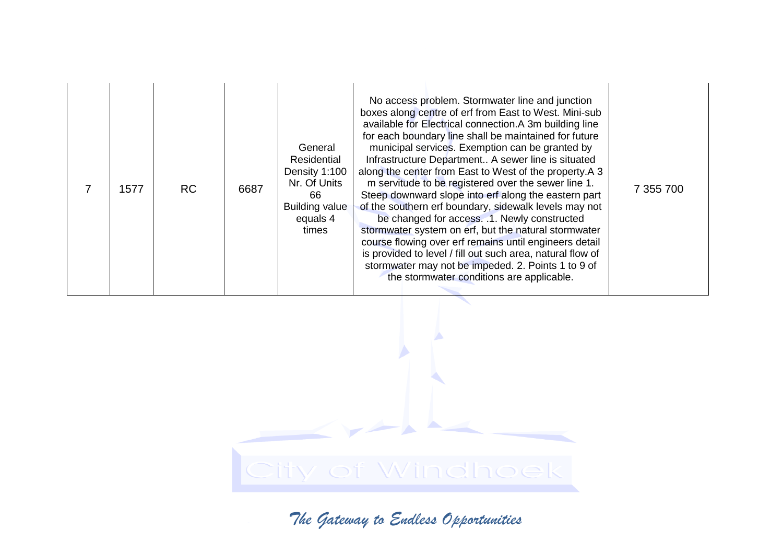|  | 1577 | <b>RC</b> | 6687 | General<br>Residential<br>Density 1:100<br>Nr. Of Units<br>66<br><b>Building value</b><br>equals 4<br>times | No access problem. Stormwater line and junction<br>boxes along centre of erf from East to West. Mini-sub<br>available for Electrical connection.A 3m building line<br>for each boundary line shall be maintained for future<br>municipal services. Exemption can be granted by<br>Infrastructure Department A sewer line is situated<br>along the center from East to West of the property.A 3<br>m servitude to be registered over the sewer line 1.<br>Steep downward slope into erf along the eastern part<br>of the southern erf boundary, sidewalk levels may not<br>be changed for access. .1. Newly constructed<br>stormwater system on erf, but the natural stormwater<br>course flowing over erf remains until engineers detail<br>is provided to level / fill out such area, natural flow of<br>stormwater may not be impeded. 2. Points 1 to 9 of<br>the stormwater conditions are applicable. | 7 355 700 |
|--|------|-----------|------|-------------------------------------------------------------------------------------------------------------|-----------------------------------------------------------------------------------------------------------------------------------------------------------------------------------------------------------------------------------------------------------------------------------------------------------------------------------------------------------------------------------------------------------------------------------------------------------------------------------------------------------------------------------------------------------------------------------------------------------------------------------------------------------------------------------------------------------------------------------------------------------------------------------------------------------------------------------------------------------------------------------------------------------|-----------|
|--|------|-----------|------|-------------------------------------------------------------------------------------------------------------|-----------------------------------------------------------------------------------------------------------------------------------------------------------------------------------------------------------------------------------------------------------------------------------------------------------------------------------------------------------------------------------------------------------------------------------------------------------------------------------------------------------------------------------------------------------------------------------------------------------------------------------------------------------------------------------------------------------------------------------------------------------------------------------------------------------------------------------------------------------------------------------------------------------|-----------|

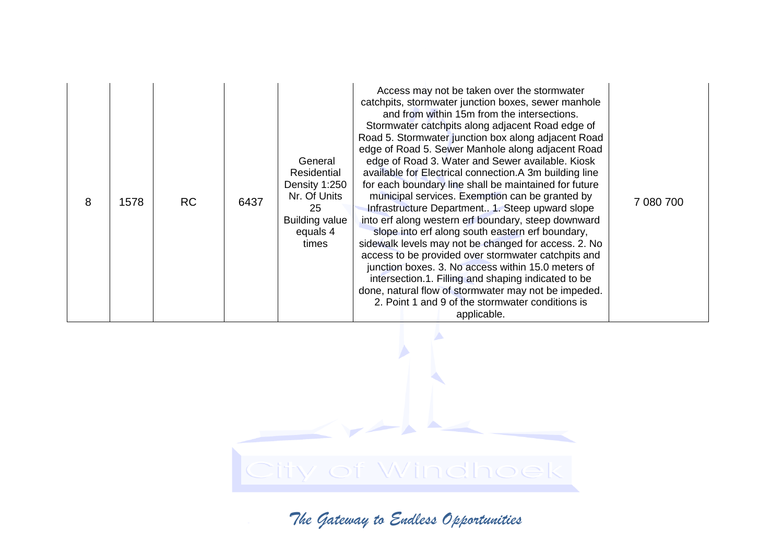| 8 | 1578 | <b>RC</b> | 6437 | General<br>Residential<br>Density 1:250<br>Nr. Of Units<br>25<br><b>Building value</b><br>equals 4<br>times | Access may not be taken over the stormwater<br>catchpits, stormwater junction boxes, sewer manhole<br>and from within 15m from the intersections.<br>Stormwater catchpits along adjacent Road edge of<br>Road 5. Stormwater junction box along adjacent Road<br>edge of Road 5. Sewer Manhole along adjacent Road<br>edge of Road 3. Water and Sewer available. Kiosk<br>available for Electrical connection.A 3m building line<br>for each boundary line shall be maintained for future<br>municipal services. Exemption can be granted by<br>Infrastructure Department1. Steep upward slope<br>into erf along western erf boundary, steep downward<br>slope into erf along south eastern erf boundary,<br>sidewalk levels may not be changed for access. 2. No<br>access to be provided over stormwater catchpits and<br>junction boxes. 3. No access within 15.0 meters of<br>intersection.1. Filling and shaping indicated to be<br>done, natural flow of stormwater may not be impeded.<br>2. Point 1 and 9 of the stormwater conditions is<br>applicable. | 7 080 700 |
|---|------|-----------|------|-------------------------------------------------------------------------------------------------------------|-----------------------------------------------------------------------------------------------------------------------------------------------------------------------------------------------------------------------------------------------------------------------------------------------------------------------------------------------------------------------------------------------------------------------------------------------------------------------------------------------------------------------------------------------------------------------------------------------------------------------------------------------------------------------------------------------------------------------------------------------------------------------------------------------------------------------------------------------------------------------------------------------------------------------------------------------------------------------------------------------------------------------------------------------------------------|-----------|
|---|------|-----------|------|-------------------------------------------------------------------------------------------------------------|-----------------------------------------------------------------------------------------------------------------------------------------------------------------------------------------------------------------------------------------------------------------------------------------------------------------------------------------------------------------------------------------------------------------------------------------------------------------------------------------------------------------------------------------------------------------------------------------------------------------------------------------------------------------------------------------------------------------------------------------------------------------------------------------------------------------------------------------------------------------------------------------------------------------------------------------------------------------------------------------------------------------------------------------------------------------|-----------|

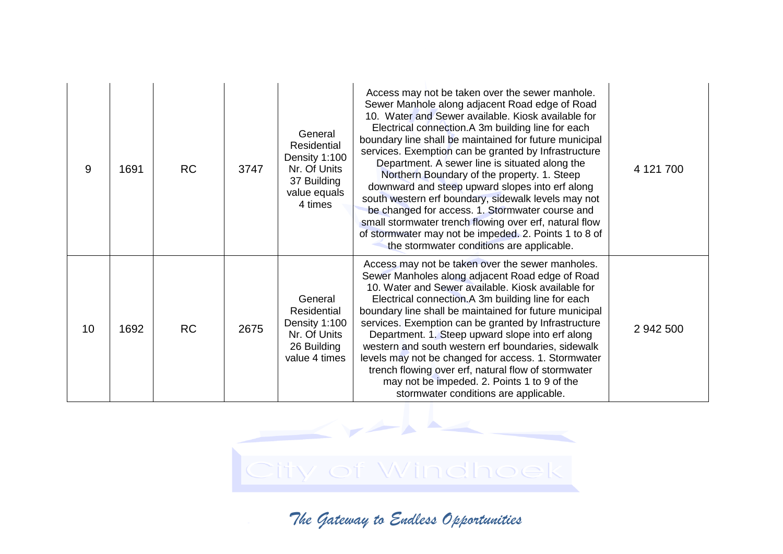| 9  | 1691 | <b>RC</b> | 3747 | General<br>Residential<br>Density 1:100<br>Nr. Of Units<br>37 Building<br>value equals<br>4 times | Access may not be taken over the sewer manhole.<br>Sewer Manhole along adjacent Road edge of Road<br>10. Water and Sewer available. Kiosk available for<br>Electrical connection.A 3m building line for each<br>boundary line shall be maintained for future municipal<br>services. Exemption can be granted by Infrastructure<br>Department. A sewer line is situated along the<br>Northern Boundary of the property. 1. Steep<br>downward and steep upward slopes into erf along<br>south western erf boundary, sidewalk levels may not<br>be changed for access. 1. Stormwater course and<br>small stormwater trench flowing over erf, natural flow<br>of stormwater may not be impeded. 2. Points 1 to 8 of<br>the stormwater conditions are applicable. | 4 121 700 |
|----|------|-----------|------|---------------------------------------------------------------------------------------------------|--------------------------------------------------------------------------------------------------------------------------------------------------------------------------------------------------------------------------------------------------------------------------------------------------------------------------------------------------------------------------------------------------------------------------------------------------------------------------------------------------------------------------------------------------------------------------------------------------------------------------------------------------------------------------------------------------------------------------------------------------------------|-----------|
| 10 | 1692 | <b>RC</b> | 2675 | General<br>Residential<br>Density 1:100<br>Nr. Of Units<br>26 Building<br>value 4 times           | Access may not be taken over the sewer manholes.<br>Sewer Manholes along adjacent Road edge of Road<br>10. Water and Sewer available. Kiosk available for<br>Electrical connection.A 3m building line for each<br>boundary line shall be maintained for future municipal<br>services. Exemption can be granted by Infrastructure<br>Department. 1. Steep upward slope into erf along<br>western and south western erf boundaries, sidewalk<br>levels may not be changed for access. 1. Stormwater<br>trench flowing over erf, natural flow of stormwater<br>may not be impeded. 2. Points 1 to 9 of the<br>stormwater conditions are applicable.                                                                                                             | 2 942 500 |

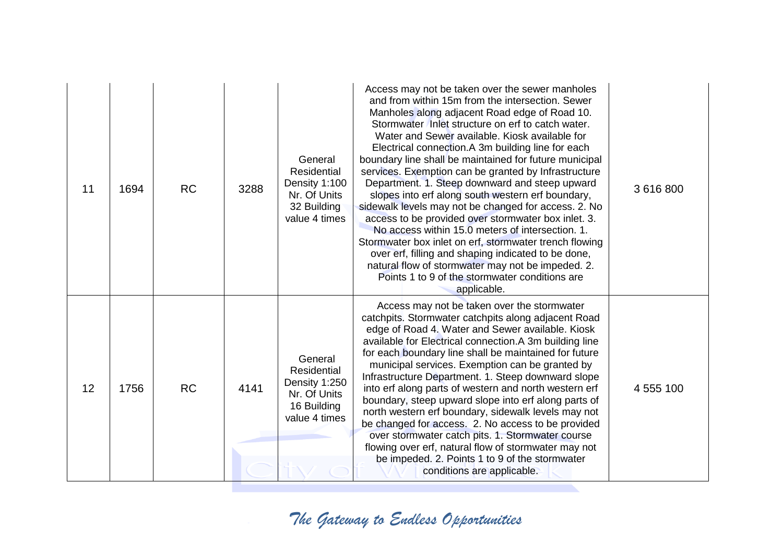| 11 | 1694 | <b>RC</b> | 3288 | General<br>Residential<br>Density 1:100<br>Nr. Of Units<br>32 Building<br>value 4 times | Access may not be taken over the sewer manholes<br>and from within 15m from the intersection. Sewer<br>Manholes along adjacent Road edge of Road 10.<br>Stormwater Inlet structure on erf to catch water.<br>Water and Sewer available. Kiosk available for<br>Electrical connection.A 3m building line for each<br>boundary line shall be maintained for future municipal<br>services. Exemption can be granted by Infrastructure<br>Department. 1. Steep downward and steep upward<br>slopes into erf along south western erf boundary,<br>sidewalk levels may not be changed for access. 2. No<br>access to be provided over stormwater box inlet. 3.<br>No access within 15.0 meters of intersection, 1.<br>Stormwater box inlet on erf, stormwater trench flowing<br>over erf, filling and shaping indicated to be done,<br>natural flow of stormwater may not be impeded. 2.<br>Points 1 to 9 of the stormwater conditions are<br>applicable. | 3 616 800 |
|----|------|-----------|------|-----------------------------------------------------------------------------------------|-----------------------------------------------------------------------------------------------------------------------------------------------------------------------------------------------------------------------------------------------------------------------------------------------------------------------------------------------------------------------------------------------------------------------------------------------------------------------------------------------------------------------------------------------------------------------------------------------------------------------------------------------------------------------------------------------------------------------------------------------------------------------------------------------------------------------------------------------------------------------------------------------------------------------------------------------------|-----------|
| 12 | 1756 | <b>RC</b> | 4141 | General<br>Residential<br>Density 1:250<br>Nr. Of Units<br>16 Building<br>value 4 times | Access may not be taken over the stormwater<br>catchpits. Stormwater catchpits along adjacent Road<br>edge of Road 4. Water and Sewer available. Kiosk<br>available for Electrical connection.A 3m building line<br>for each boundary line shall be maintained for future<br>municipal services. Exemption can be granted by<br>Infrastructure Department. 1. Steep downward slope<br>into erf along parts of western and north western erf<br>boundary, steep upward slope into erf along parts of<br>north western erf boundary, sidewalk levels may not<br>be changed for access. 2. No access to be provided<br>over stormwater catch pits. 1. Stormwater course<br>flowing over erf, natural flow of stormwater may not<br>be impeded. 2. Points 1 to 9 of the stormwater<br>conditions are applicable.                                                                                                                                        | 4 555 100 |